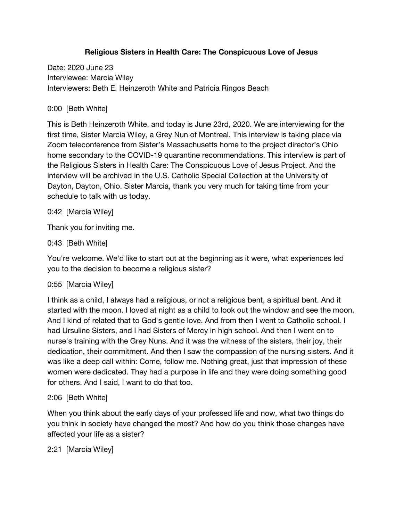### **Religious Sisters in Health Care: The Conspicuous Love of Jesus**

Date: 2020 June 23 Interviewee: Marcia Wiley Interviewers: Beth E. Heinzeroth White and Patricia Ringos Beach

## 0:00 [Beth White]

This is Beth Heinzeroth White, and today is June 23rd, 2020. We are interviewing for the first time, Sister Marcia Wiley, a Grey Nun of Montreal. This interview is taking place via Zoom teleconference from Sister's Massachusetts home to the project director's Ohio home secondary to the COVID-19 quarantine recommendations. This interview is part of the Religious Sisters in Health Care: The Conspicuous Love of Jesus Project. And the interview will be archived in the U.S. Catholic Special Collection at the University of Dayton, Dayton, Ohio. Sister Marcia, thank you very much for taking time from your schedule to talk with us today.

0:42 [Marcia Wiley]

Thank you for inviting me.

### 0:43 [Beth White]

You're welcome. We'd like to start out at the beginning as it were, what experiences led you to the decision to become a religious sister?

### 0:55 [Marcia Wiley]

I think as a child, I always had a religious, or not a religious bent, a spiritual bent. And it started with the moon. I loved at night as a child to look out the window and see the moon. And I kind of related that to God's gentle love. And from then I went to Catholic school. I had Ursuline Sisters, and I had Sisters of Mercy in high school. And then I went on to nurse's training with the Grey Nuns. And it was the witness of the sisters, their joy, their dedication, their commitment. And then I saw the compassion of the nursing sisters. And it was like a deep call within: Come, follow me. Nothing great, just that impression of these women were dedicated. They had a purpose in life and they were doing something good for others. And I said, I want to do that too.

## 2:06 [Beth White]

When you think about the early days of your professed life and now, what two things do you think in society have changed the most? And how do you think those changes have affected your life as a sister?

2:21 [Marcia Wiley]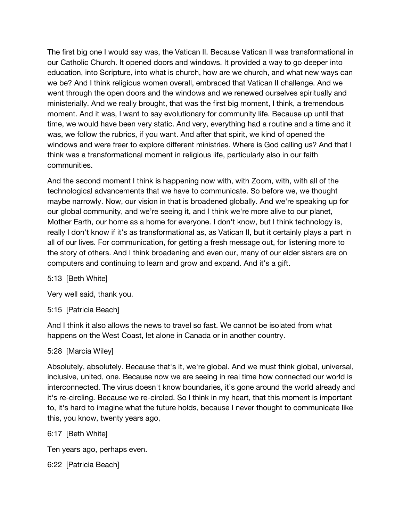The first big one I would say was, the Vatican II. Because Vatican II was transformational in our Catholic Church. It opened doors and windows. It provided a way to go deeper into education, into Scripture, into what is church, how are we church, and what new ways can we be? And I think religious women overall, embraced that Vatican II challenge. And we went through the open doors and the windows and we renewed ourselves spiritually and ministerially. And we really brought, that was the first big moment, I think, a tremendous moment. And it was, I want to say evolutionary for community life. Because up until that time, we would have been very static. And very, everything had a routine and a time and it was, we follow the rubrics, if you want. And after that spirit, we kind of opened the windows and were freer to explore different ministries. Where is God calling us? And that I think was a transformational moment in religious life, particularly also in our faith communities.

And the second moment I think is happening now with, with Zoom, with, with all of the technological advancements that we have to communicate. So before we, we thought maybe narrowly. Now, our vision in that is broadened globally. And we're speaking up for our global community, and we're seeing it, and I think we're more alive to our planet, Mother Earth, our home as a home for everyone. I don't know, but I think technology is, really I don't know if it's as transformational as, as Vatican II, but it certainly plays a part in all of our lives. For communication, for getting a fresh message out, for listening more to the story of others. And I think broadening and even our, many of our elder sisters are on computers and continuing to learn and grow and expand. And it's a gift.

### 5:13 [Beth White]

Very well said, thank you.

5:15 [Patricia Beach]

And I think it also allows the news to travel so fast. We cannot be isolated from what happens on the West Coast, let alone in Canada or in another country.

#### 5:28 [Marcia Wiley]

Absolutely, absolutely. Because that's it, we're global. And we must think global, universal, inclusive, united, one. Because now we are seeing in real time how connected our world is interconnected. The virus doesn't know boundaries, it's gone around the world already and it's re-circling. Because we re-circled. So I think in my heart, that this moment is important to, it's hard to imagine what the future holds, because I never thought to communicate like this, you know, twenty years ago,

6:17 [Beth White]

Ten years ago, perhaps even.

6:22 [Patricia Beach]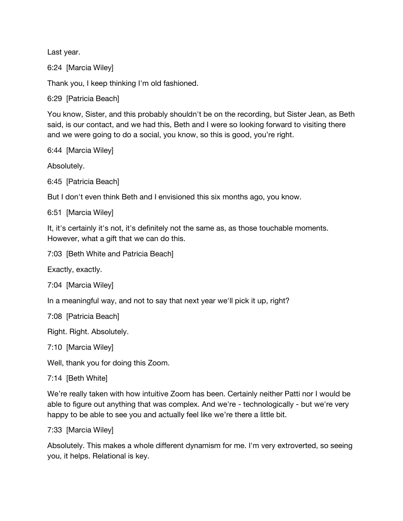Last year.

6:24 [Marcia Wiley]

Thank you, I keep thinking I'm old fashioned.

6:29 [Patricia Beach]

You know, Sister, and this probably shouldn't be on the recording, but Sister Jean, as Beth said, is our contact, and we had this, Beth and I were so looking forward to visiting there and we were going to do a social, you know, so this is good, you're right.

6:44 [Marcia Wiley]

Absolutely.

6:45 [Patricia Beach]

But I don't even think Beth and I envisioned this six months ago, you know.

6:51 [Marcia Wiley]

It, it's certainly it's not, it's definitely not the same as, as those touchable moments. However, what a gift that we can do this.

7:03 [Beth White and Patricia Beach]

Exactly, exactly.

7:04 [Marcia Wiley]

In a meaningful way, and not to say that next year we'll pick it up, right?

7:08 [Patricia Beach]

Right. Right. Absolutely.

7:10 [Marcia Wiley]

Well, thank you for doing this Zoom.

7:14 [Beth White]

We're really taken with how intuitive Zoom has been. Certainly neither Patti nor I would be able to figure out anything that was complex. And we're - technologically - but we're very happy to be able to see you and actually feel like we're there a little bit.

7:33 [Marcia Wiley]

Absolutely. This makes a whole different dynamism for me. I'm very extroverted, so seeing you, it helps. Relational is key.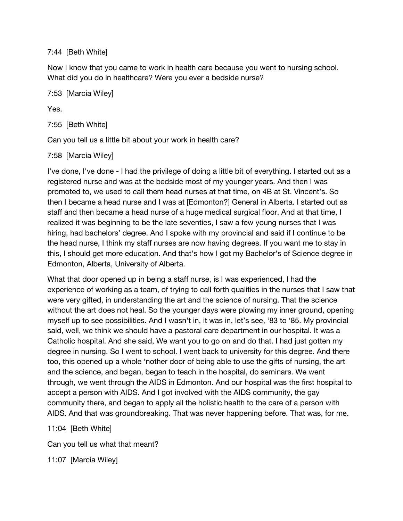7:44 [Beth White]

Now I know that you came to work in health care because you went to nursing school. What did you do in healthcare? Were you ever a bedside nurse?

7:53 [Marcia Wiley]

Yes.

7:55 [Beth White]

Can you tell us a little bit about your work in health care?

7:58 [Marcia Wiley]

I've done, I've done - I had the privilege of doing a little bit of everything. I started out as a registered nurse and was at the bedside most of my younger years. And then I was promoted to, we used to call them head nurses at that time, on 4B at St. Vincent's. So then I became a head nurse and I was at [Edmonton?] General in Alberta. I started out as staff and then became a head nurse of a huge medical surgical floor. And at that time, I realized it was beginning to be the late seventies, I saw a few young nurses that I was hiring, had bachelors' degree. And I spoke with my provincial and said if I continue to be the head nurse, I think my staff nurses are now having degrees. If you want me to stay in this, I should get more education. And that's how I got my Bachelor's of Science degree in Edmonton, Alberta, University of Alberta.

What that door opened up in being a staff nurse, is I was experienced, I had the experience of working as a team, of trying to call forth qualities in the nurses that I saw that were very gifted, in understanding the art and the science of nursing. That the science without the art does not heal. So the younger days were plowing my inner ground, opening myself up to see possibilities. And I wasn't in, it was in, let's see, '83 to '85. My provincial said, well, we think we should have a pastoral care department in our hospital. It was a Catholic hospital. And she said, We want you to go on and do that. I had just gotten my degree in nursing. So I went to school. I went back to university for this degree. And there too, this opened up a whole 'nother door of being able to use the gifts of nursing, the art and the science, and began, began to teach in the hospital, do seminars. We went through, we went through the AIDS in Edmonton. And our hospital was the first hospital to accept a person with AIDS. And I got involved with the AIDS community, the gay community there, and began to apply all the holistic health to the care of a person with AIDS. And that was groundbreaking. That was never happening before. That was, for me.

11:04 [Beth White]

Can you tell us what that meant?

11:07 [Marcia Wiley]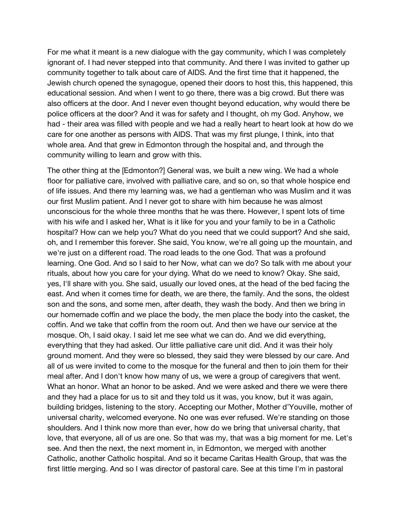For me what it meant is a new dialogue with the gay community, which I was completely ignorant of. I had never stepped into that community. And there I was invited to gather up community together to talk about care of AIDS. And the first time that it happened, the Jewish church opened the synagogue, opened their doors to host this, this happened, this educational session. And when I went to go there, there was a big crowd. But there was also officers at the door. And I never even thought beyond education, why would there be police officers at the door? And it was for safety and I thought, oh my God. Anyhow, we had - their area was filled with people and we had a really heart to heart look at how do we care for one another as persons with AIDS. That was my first plunge, I think, into that whole area. And that grew in Edmonton through the hospital and, and through the community willing to learn and grow with this.

The other thing at the [Edmonton?] General was, we built a new wing. We had a whole floor for palliative care, involved with palliative care, and so on, so that whole hospice end of life issues. And there my learning was, we had a gentleman who was Muslim and it was our first Muslim patient. And I never got to share with him because he was almost unconscious for the whole three months that he was there. However, I spent lots of time with his wife and I asked her, What is it like for you and your family to be in a Catholic hospital? How can we help you? What do you need that we could support? And she said, oh, and I remember this forever. She said, You know, we're all going up the mountain, and we're just on a different road. The road leads to the one God. That was a profound learning. One God. And so I said to her Now, what can we do? So talk with me about your rituals, about how you care for your dying. What do we need to know? Okay. She said, yes, I'll share with you. She said, usually our loved ones, at the head of the bed facing the east. And when it comes time for death, we are there, the family. And the sons, the oldest son and the sons, and some men, after death, they wash the body. And then we bring in our homemade coffin and we place the body, the men place the body into the casket, the coffin. And we take that coffin from the room out. And then we have our service at the mosque. Oh, I said okay. I said let me see what we can do. And we did everything, everything that they had asked. Our little palliative care unit did. And it was their holy ground moment. And they were so blessed, they said they were blessed by our care. And all of us were invited to come to the mosque for the funeral and then to join them for their meal after. And I don't know how many of us, we were a group of caregivers that went. What an honor. What an honor to be asked. And we were asked and there we were there and they had a place for us to sit and they told us it was, you know, but it was again, building bridges, listening to the story. Accepting our Mother, Mother d'Youville, mother of universal charity, welcomed everyone. No one was ever refused. We're standing on those shoulders. And I think now more than ever, how do we bring that universal charity, that love, that everyone, all of us are one. So that was my, that was a big moment for me. Let's see. And then the next, the next moment in, in Edmonton, we merged with another Catholic, another Catholic hospital. And so it became Caritas Health Group, that was the first little merging. And so I was director of pastoral care. See at this time I'm in pastoral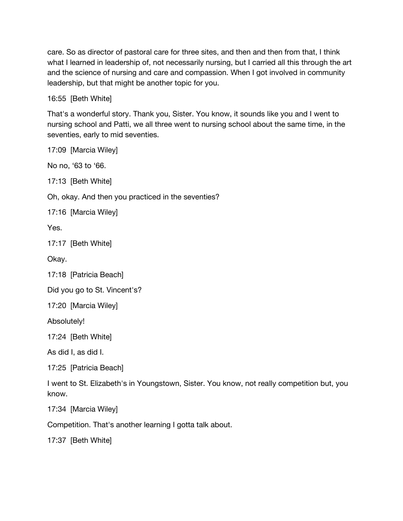care. So as director of pastoral care for three sites, and then and then from that, I think what I learned in leadership of, not necessarily nursing, but I carried all this through the art and the science of nursing and care and compassion. When I got involved in community leadership, but that might be another topic for you.

16:55 [Beth White]

That's a wonderful story. Thank you, Sister. You know, it sounds like you and I went to nursing school and Patti, we all three went to nursing school about the same time, in the seventies, early to mid seventies.

17:09 [Marcia Wiley]

No no, '63 to '66.

17:13 [Beth White]

Oh, okay. And then you practiced in the seventies?

17:16 [Marcia Wiley]

Yes.

17:17 [Beth White]

Okay.

17:18 [Patricia Beach]

Did you go to St. Vincent's?

17:20 [Marcia Wiley]

Absolutely!

17:24 [Beth White]

As did I, as did I.

17:25 [Patricia Beach]

I went to St. Elizabeth's in Youngstown, Sister. You know, not really competition but, you know.

17:34 [Marcia Wiley]

Competition. That's another learning I gotta talk about.

17:37 [Beth White]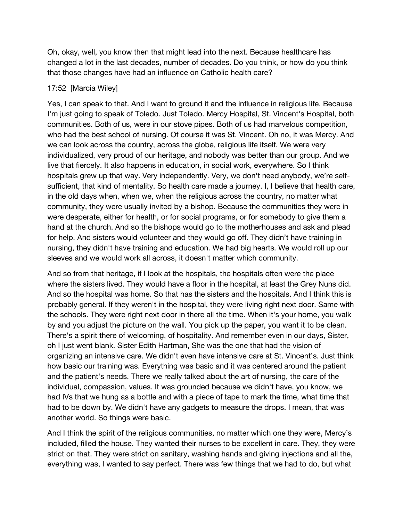Oh, okay, well, you know then that might lead into the next. Because healthcare has changed a lot in the last decades, number of decades. Do you think, or how do you think that those changes have had an influence on Catholic health care?

### 17:52 [Marcia Wiley]

Yes, I can speak to that. And I want to ground it and the influence in religious life. Because I'm just going to speak of Toledo. Just Toledo. Mercy Hospital, St. Vincent's Hospital, both communities. Both of us, were in our stove pipes. Both of us had marvelous competition, who had the best school of nursing. Of course it was St. Vincent. Oh no, it was Mercy. And we can look across the country, across the globe, religious life itself. We were very individualized, very proud of our heritage, and nobody was better than our group. And we live that fiercely. It also happens in education, in social work, everywhere. So I think hospitals grew up that way. Very independently. Very, we don't need anybody, we're selfsufficient, that kind of mentality. So health care made a journey. I, I believe that health care, in the old days when, when we, when the religious across the country, no matter what community, they were usually invited by a bishop. Because the communities they were in were desperate, either for health, or for social programs, or for somebody to give them a hand at the church. And so the bishops would go to the motherhouses and ask and plead for help. And sisters would volunteer and they would go off. They didn't have training in nursing, they didn't have training and education. We had big hearts. We would roll up our sleeves and we would work all across, it doesn't matter which community.

And so from that heritage, if I look at the hospitals, the hospitals often were the place where the sisters lived. They would have a floor in the hospital, at least the Grey Nuns did. And so the hospital was home. So that has the sisters and the hospitals. And I think this is probably general. If they weren't in the hospital, they were living right next door. Same with the schools. They were right next door in there all the time. When it's your home, you walk by and you adjust the picture on the wall. You pick up the paper, you want it to be clean. There's a spirit there of welcoming, of hospitality. And remember even in our days, Sister, oh I just went blank. Sister Edith Hartman, She was the one that had the vision of organizing an intensive care. We didn't even have intensive care at St. Vincent's. Just think how basic our training was. Everything was basic and it was centered around the patient and the patient's needs. There we really talked about the art of nursing, the care of the individual, compassion, values. It was grounded because we didn't have, you know, we had IVs that we hung as a bottle and with a piece of tape to mark the time, what time that had to be down by. We didn't have any gadgets to measure the drops. I mean, that was another world. So things were basic.

And I think the spirit of the religious communities, no matter which one they were, Mercy's included, filled the house. They wanted their nurses to be excellent in care. They, they were strict on that. They were strict on sanitary, washing hands and giving injections and all the, everything was, I wanted to say perfect. There was few things that we had to do, but what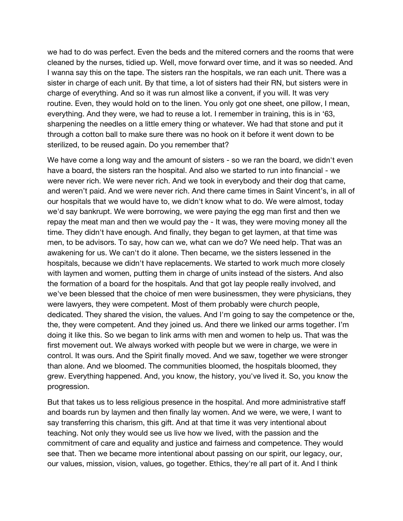we had to do was perfect. Even the beds and the mitered corners and the rooms that were cleaned by the nurses, tidied up. Well, move forward over time, and it was so needed. And I wanna say this on the tape. The sisters ran the hospitals, we ran each unit. There was a sister in charge of each unit. By that time, a lot of sisters had their RN, but sisters were in charge of everything. And so it was run almost like a convent, if you will. It was very routine. Even, they would hold on to the linen. You only got one sheet, one pillow, I mean, everything. And they were, we had to reuse a lot. I remember in training, this is in '63, sharpening the needles on a little emery thing or whatever. We had that stone and put it through a cotton ball to make sure there was no hook on it before it went down to be sterilized, to be reused again. Do you remember that?

We have come a long way and the amount of sisters - so we ran the board, we didn't even have a board, the sisters ran the hospital. And also we started to run into financial - we were never rich. We were never rich. And we took in everybody and their dog that came, and weren't paid. And we were never rich. And there came times in Saint Vincent's, in all of our hospitals that we would have to, we didn't know what to do. We were almost, today we'd say bankrupt. We were borrowing, we were paying the egg man first and then we repay the meat man and then we would pay the - It was, they were moving money all the time. They didn't have enough. And finally, they began to get laymen, at that time was men, to be advisors. To say, how can we, what can we do? We need help. That was an awakening for us. We can't do it alone. Then became, we the sisters lessened in the hospitals, because we didn't have replacements. We started to work much more closely with laymen and women, putting them in charge of units instead of the sisters. And also the formation of a board for the hospitals. And that got lay people really involved, and we've been blessed that the choice of men were businessmen, they were physicians, they were lawyers, they were competent. Most of them probably were church people, dedicated. They shared the vision, the values. And I'm going to say the competence or the, the, they were competent. And they joined us. And there we linked our arms together. I'm doing it like this. So we began to link arms with men and women to help us. That was the first movement out. We always worked with people but we were in charge, we were in control. It was ours. And the Spirit finally moved. And we saw, together we were stronger than alone. And we bloomed. The communities bloomed, the hospitals bloomed, they grew. Everything happened. And, you know, the history, you've lived it. So, you know the progression.

But that takes us to less religious presence in the hospital. And more administrative staff and boards run by laymen and then finally lay women. And we were, we were, I want to say transferring this charism, this gift. And at that time it was very intentional about teaching. Not only they would see us live how we lived, with the passion and the commitment of care and equality and justice and fairness and competence. They would see that. Then we became more intentional about passing on our spirit, our legacy, our, our values, mission, vision, values, go together. Ethics, they're all part of it. And I think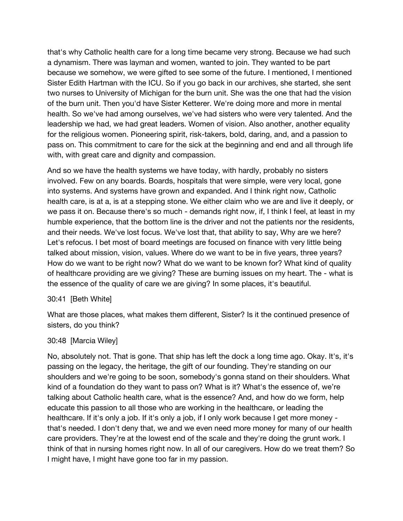that's why Catholic health care for a long time became very strong. Because we had such a dynamism. There was layman and women, wanted to join. They wanted to be part because we somehow, we were gifted to see some of the future. I mentioned, I mentioned Sister Edith Hartman with the ICU. So if you go back in our archives, she started, she sent two nurses to University of Michigan for the burn unit. She was the one that had the vision of the burn unit. Then you'd have Sister Ketterer. We're doing more and more in mental health. So we've had among ourselves, we've had sisters who were very talented. And the leadership we had, we had great leaders. Women of vision. Also another, another equality for the religious women. Pioneering spirit, risk-takers, bold, daring, and, and a passion to pass on. This commitment to care for the sick at the beginning and end and all through life with, with great care and dignity and compassion.

And so we have the health systems we have today, with hardly, probably no sisters involved. Few on any boards. Boards, hospitals that were simple, were very local, gone into systems. And systems have grown and expanded. And I think right now, Catholic health care, is at a, is at a stepping stone. We either claim who we are and live it deeply, or we pass it on. Because there's so much - demands right now, if, I think I feel, at least in my humble experience, that the bottom line is the driver and not the patients nor the residents, and their needs. We've lost focus. We've lost that, that ability to say, Why are we here? Let's refocus. I bet most of board meetings are focused on finance with very little being talked about mission, vision, values. Where do we want to be in five years, three years? How do we want to be right now? What do we want to be known for? What kind of quality of healthcare providing are we giving? These are burning issues on my heart. The - what is the essence of the quality of care we are giving? In some places, it's beautiful.

#### 30:41 [Beth White]

What are those places, what makes them different, Sister? Is it the continued presence of sisters, do you think?

### 30:48 [Marcia Wiley]

No, absolutely not. That is gone. That ship has left the dock a long time ago. Okay. It's, it's passing on the legacy, the heritage, the gift of our founding. They're standing on our shoulders and we're going to be soon, somebody's gonna stand on their shoulders. What kind of a foundation do they want to pass on? What is it? What's the essence of, we're talking about Catholic health care, what is the essence? And, and how do we form, help educate this passion to all those who are working in the healthcare, or leading the healthcare. If it's only a job. If it's only a job, if I only work because I get more money that's needed. I don't deny that, we and we even need more money for many of our health care providers. They're at the lowest end of the scale and they're doing the grunt work. I think of that in nursing homes right now. In all of our caregivers. How do we treat them? So I might have, I might have gone too far in my passion.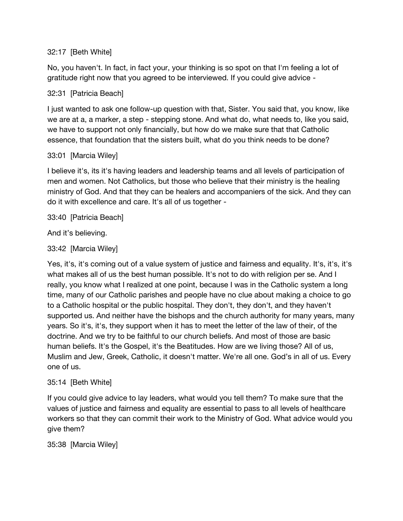## 32:17 [Beth White]

No, you haven't. In fact, in fact your, your thinking is so spot on that I'm feeling a lot of gratitude right now that you agreed to be interviewed. If you could give advice -

## 32:31 [Patricia Beach]

I just wanted to ask one follow-up question with that, Sister. You said that, you know, like we are at a, a marker, a step - stepping stone. And what do, what needs to, like you said, we have to support not only financially, but how do we make sure that that Catholic essence, that foundation that the sisters built, what do you think needs to be done?

### 33:01 [Marcia Wiley]

I believe it's, its it's having leaders and leadership teams and all levels of participation of men and women. Not Catholics, but those who believe that their ministry is the healing ministry of God. And that they can be healers and accompaniers of the sick. And they can do it with excellence and care. It's all of us together -

### 33:40 [Patricia Beach]

And it's believing.

### 33:42 [Marcia Wiley]

Yes, it's, it's coming out of a value system of justice and fairness and equality. It's, it's, it's what makes all of us the best human possible. It's not to do with religion per se. And I really, you know what I realized at one point, because I was in the Catholic system a long time, many of our Catholic parishes and people have no clue about making a choice to go to a Catholic hospital or the public hospital. They don't, they don't, and they haven't supported us. And neither have the bishops and the church authority for many years, many years. So it's, it's, they support when it has to meet the letter of the law of their, of the doctrine. And we try to be faithful to our church beliefs. And most of those are basic human beliefs. It's the Gospel, it's the Beatitudes. How are we living those? All of us, Muslim and Jew, Greek, Catholic, it doesn't matter. We're all one. God's in all of us. Every one of us.

### 35:14 [Beth White]

If you could give advice to lay leaders, what would you tell them? To make sure that the values of justice and fairness and equality are essential to pass to all levels of healthcare workers so that they can commit their work to the Ministry of God. What advice would you give them?

### 35:38 [Marcia Wiley]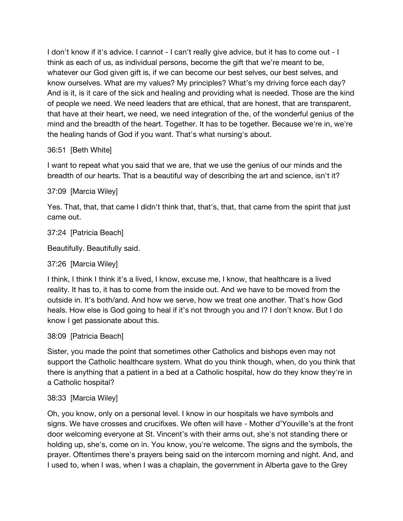I don't know if it's advice. I cannot - I can't really give advice, but it has to come out - I think as each of us, as individual persons, become the gift that we're meant to be, whatever our God given gift is, if we can become our best selves, our best selves, and know ourselves. What are my values? My principles? What's my driving force each day? And is it, is it care of the sick and healing and providing what is needed. Those are the kind of people we need. We need leaders that are ethical, that are honest, that are transparent, that have at their heart, we need, we need integration of the, of the wonderful genius of the mind and the breadth of the heart. Together. It has to be together. Because we're in, we're the healing hands of God if you want. That's what nursing's about.

### 36:51 [Beth White]

I want to repeat what you said that we are, that we use the genius of our minds and the breadth of our hearts. That is a beautiful way of describing the art and science, isn't it?

### 37:09 [Marcia Wiley]

Yes. That, that, that came I didn't think that, that's, that, that came from the spirit that just came out.

### 37:24 [Patricia Beach]

Beautifully. Beautifully said.

```
37:26 [Marcia Wiley]
```
I think, I think I think it's a lived, I know, excuse me, I know, that healthcare is a lived reality. It has to, it has to come from the inside out. And we have to be moved from the outside in. It's both/and. And how we serve, how we treat one another. That's how God heals. How else is God going to heal if it's not through you and I? I don't know. But I do know I get passionate about this.

### 38:09 [Patricia Beach]

Sister, you made the point that sometimes other Catholics and bishops even may not support the Catholic healthcare system. What do you think though, when, do you think that there is anything that a patient in a bed at a Catholic hospital, how do they know they're in a Catholic hospital?

### 38:33 [Marcia Wiley]

Oh, you know, only on a personal level. I know in our hospitals we have symbols and signs. We have crosses and crucifixes. We often will have - Mother d'Youville's at the front door welcoming everyone at St. Vincent's with their arms out, she's not standing there or holding up, she's, come on in. You know, you're welcome. The signs and the symbols, the prayer. Oftentimes there's prayers being said on the intercom morning and night. And, and I used to, when I was, when I was a chaplain, the government in Alberta gave to the Grey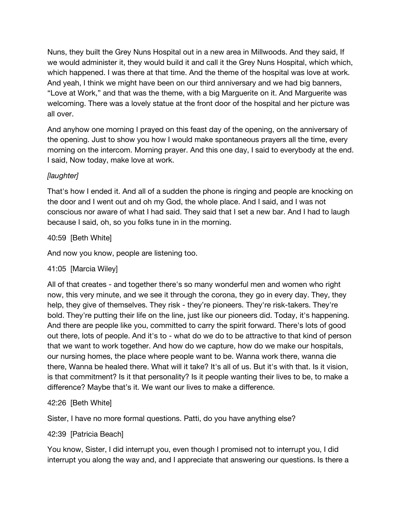Nuns, they built the Grey Nuns Hospital out in a new area in Millwoods. And they said, If we would administer it, they would build it and call it the Grey Nuns Hospital, which which, which happened. I was there at that time. And the theme of the hospital was love at work. And yeah, I think we might have been on our third anniversary and we had big banners, "Love at Work," and that was the theme, with a big Marguerite on it. And Marguerite was welcoming. There was a lovely statue at the front door of the hospital and her picture was all over.

And anyhow one morning I prayed on this feast day of the opening, on the anniversary of the opening. Just to show you how I would make spontaneous prayers all the time, every morning on the intercom. Morning prayer. And this one day, I said to everybody at the end. I said, Now today, make love at work.

## *[laughter]*

That's how I ended it. And all of a sudden the phone is ringing and people are knocking on the door and I went out and oh my God, the whole place. And I said, and I was not conscious nor aware of what I had said. They said that I set a new bar. And I had to laugh because I said, oh, so you folks tune in in the morning.

## 40:59 [Beth White]

And now you know, people are listening too.

## 41:05 [Marcia Wiley]

All of that creates - and together there's so many wonderful men and women who right now, this very minute, and we see it through the corona, they go in every day. They, they help, they give of themselves. They risk - they're pioneers. They're risk-takers. They're bold. They're putting their life on the line, just like our pioneers did. Today, it's happening. And there are people like you, committed to carry the spirit forward. There's lots of good out there, lots of people. And it's to - what do we do to be attractive to that kind of person that we want to work together. And how do we capture, how do we make our hospitals, our nursing homes, the place where people want to be. Wanna work there, wanna die there, Wanna be healed there. What will it take? It's all of us. But it's with that. Is it vision, is that commitment? Is it that personality? Is it people wanting their lives to be, to make a difference? Maybe that's it. We want our lives to make a difference.

## 42:26 [Beth White]

Sister, I have no more formal questions. Patti, do you have anything else?

## 42:39 [Patricia Beach]

You know, Sister, I did interrupt you, even though I promised not to interrupt you, I did interrupt you along the way and, and I appreciate that answering our questions. Is there a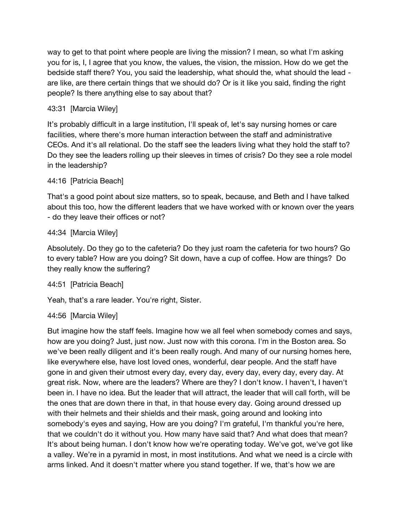way to get to that point where people are living the mission? I mean, so what I'm asking you for is, I, I agree that you know, the values, the vision, the mission. How do we get the bedside staff there? You, you said the leadership, what should the, what should the lead are like, are there certain things that we should do? Or is it like you said, finding the right people? Is there anything else to say about that?

# 43:31 [Marcia Wiley]

It's probably difficult in a large institution, I'll speak of, let's say nursing homes or care facilities, where there's more human interaction between the staff and administrative CEOs. And it's all relational. Do the staff see the leaders living what they hold the staff to? Do they see the leaders rolling up their sleeves in times of crisis? Do they see a role model in the leadership?

# 44:16 [Patricia Beach]

That's a good point about size matters, so to speak, because, and Beth and I have talked about this too, how the different leaders that we have worked with or known over the years - do they leave their offices or not?

## 44:34 [Marcia Wiley]

Absolutely. Do they go to the cafeteria? Do they just roam the cafeteria for two hours? Go to every table? How are you doing? Sit down, have a cup of coffee. How are things? Do they really know the suffering?

## 44:51 [Patricia Beach]

Yeah, that's a rare leader. You're right, Sister.

## 44:56 [Marcia Wiley]

But imagine how the staff feels. Imagine how we all feel when somebody comes and says, how are you doing? Just, just now. Just now with this corona. I'm in the Boston area. So we've been really diligent and it's been really rough. And many of our nursing homes here, like everywhere else, have lost loved ones, wonderful, dear people. And the staff have gone in and given their utmost every day, every day, every day, every day, every day. At great risk. Now, where are the leaders? Where are they? I don't know. I haven't, I haven't been in. I have no idea. But the leader that will attract, the leader that will call forth, will be the ones that are down there in that, in that house every day. Going around dressed up with their helmets and their shields and their mask, going around and looking into somebody's eyes and saying, How are you doing? I'm grateful, I'm thankful you're here, that we couldn't do it without you. How many have said that? And what does that mean? It's about being human. I don't know how we're operating today. We've got, we've got like a valley. We're in a pyramid in most, in most institutions. And what we need is a circle with arms linked. And it doesn't matter where you stand together. If we, that's how we are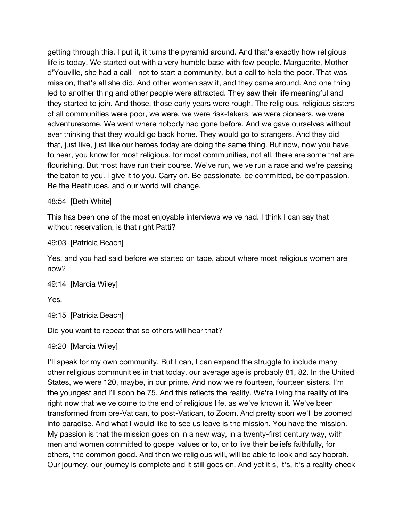getting through this. I put it, it turns the pyramid around. And that's exactly how religious life is today. We started out with a very humble base with few people. Marguerite, Mother d'Youville, she had a call - not to start a community, but a call to help the poor. That was mission, that's all she did. And other women saw it, and they came around. And one thing led to another thing and other people were attracted. They saw their life meaningful and they started to join. And those, those early years were rough. The religious, religious sisters of all communities were poor, we were, we were risk-takers, we were pioneers, we were adventuresome. We went where nobody had gone before. And we gave ourselves without ever thinking that they would go back home. They would go to strangers. And they did that, just like, just like our heroes today are doing the same thing. But now, now you have to hear, you know for most religious, for most communities, not all, there are some that are flourishing. But most have run their course. We've run, we've run a race and we're passing the baton to you. I give it to you. Carry on. Be passionate, be committed, be compassion. Be the Beatitudes, and our world will change.

48:54 [Beth White]

This has been one of the most enjoyable interviews we've had. I think I can say that without reservation, is that right Patti?

49:03 [Patricia Beach]

Yes, and you had said before we started on tape, about where most religious women are now?

```
49:14 [Marcia Wiley]
```
Yes.

```
49:15 [Patricia Beach]
```
Did you want to repeat that so others will hear that?

49:20 [Marcia Wiley]

I'll speak for my own community. But I can, I can expand the struggle to include many other religious communities in that today, our average age is probably 81, 82. In the United States, we were 120, maybe, in our prime. And now we're fourteen, fourteen sisters. I'm the youngest and I'll soon be 75. And this reflects the reality. We're living the reality of life right now that we've come to the end of religious life, as we've known it. We've been transformed from pre-Vatican, to post-Vatican, to Zoom. And pretty soon we'll be zoomed into paradise. And what I would like to see us leave is the mission. You have the mission. My passion is that the mission goes on in a new way, in a twenty-first century way, with men and women committed to gospel values or to, or to live their beliefs faithfully, for others, the common good. And then we religious will, will be able to look and say hoorah. Our journey, our journey is complete and it still goes on. And yet it's, it's, it's a reality check